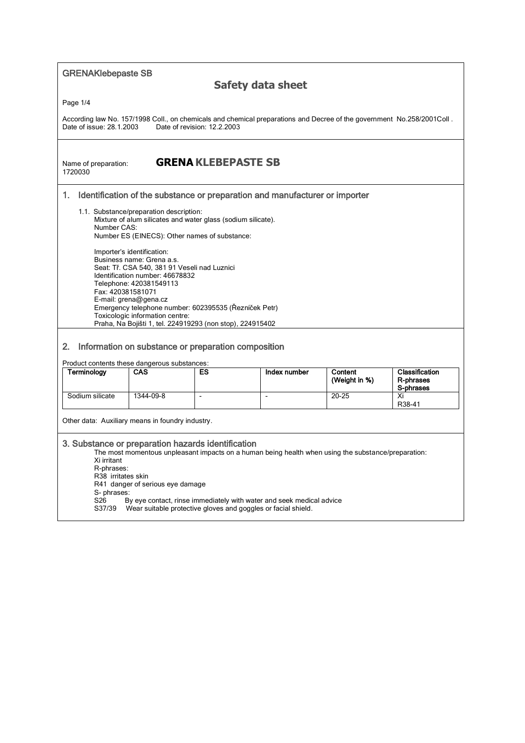GRENAKlebepaste SB

## **Safety data sheet**

Page 1/4

According law No. 157/1998 Coll., on chemicals and chemical preparations and Decree of the government No.258/2001Coll .<br>Date of issue: 28.1.2003 Date of revision: 12.2.2003 Date of revision: 12.2.2003

1720030

## Name of preparation: **GRENA KLEBEPASTE SB**

## 1. Identification of the substance or preparation and manufacturer or importer

- 1.1. Substance/preparation description: Mixture of alum silicates and water glass (sodium silicate). Number CAS: Number ES (EINECS): Other names of substance: Importer's identification: Business name: Grena a.s. Seat: Tř. CSA 540, 381 91 Veseli nad Luznici Identification number: 46678832 Telephone: 420381549113 Fax: 420381581071 E-mail: grena@gena.cz Emergency telephone number: 602395535 (Řezníček Petr)
	- Toxicologic information centre: Praha, Na Bojišti 1, tel. 224919293 (non stop), 224915402

## 2. Information on substance or preparation composition

Product contents these dangerous substances:

| Terminology     | <b>CAS</b> | ES | Index number | Content<br>(Weight in %) | <b>Classification</b><br>R-phrases<br>S-phrases |
|-----------------|------------|----|--------------|--------------------------|-------------------------------------------------|
| Sodium silicate | 1344-09-8  |    |              | $20 - 25$                | Xi                                              |
|                 |            |    |              |                          | R38-41                                          |

Other data: Auxiliary means in foundry industry.

### 3. Substance or preparation hazards identification

The most momentous unpleasant impacts on a human being health when using the substance/preparation:

- Xi irritant R-phrases:
- R38 irritates skin
- R41 danger of serious eye damage
- 
- S- phrases:<br>S26 B By eye contact, rinse immediately with water and seek medical advice
- S37/39 Wear suitable protective gloves and goggles or facial shield.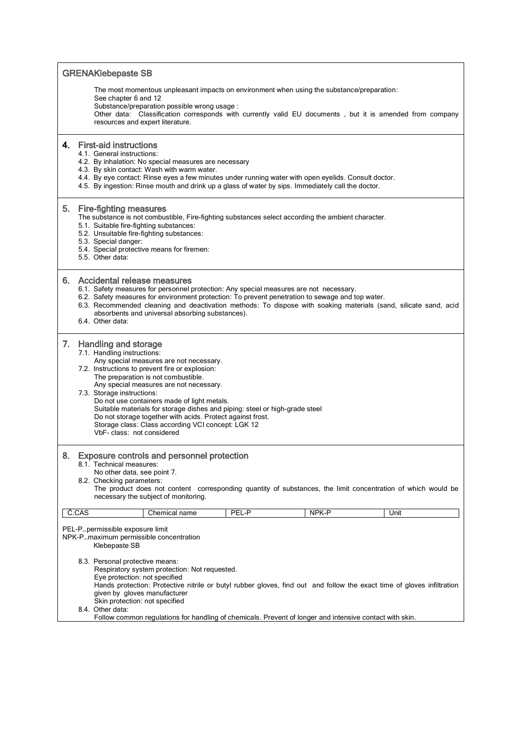| <b>GRENAKlebepaste SB</b>                                                                                                                                                                                                                                                                               |                                                                                                                                                                                                                                                                                                                                                                                                                                                                                                                                                          |  |  |  |  |
|---------------------------------------------------------------------------------------------------------------------------------------------------------------------------------------------------------------------------------------------------------------------------------------------------------|----------------------------------------------------------------------------------------------------------------------------------------------------------------------------------------------------------------------------------------------------------------------------------------------------------------------------------------------------------------------------------------------------------------------------------------------------------------------------------------------------------------------------------------------------------|--|--|--|--|
|                                                                                                                                                                                                                                                                                                         | The most momentous unpleasant impacts on environment when using the substance/preparation:<br>See chapter 6 and 12<br>Substance/preparation possible wrong usage:<br>Other data: Classification corresponds with currently valid EU documents, but it is amended from company<br>resources and expert literature.                                                                                                                                                                                                                                        |  |  |  |  |
| 4.                                                                                                                                                                                                                                                                                                      | <b>First-aid instructions</b><br>4.1. General instructions:<br>4.2. By inhalation: No special measures are necessary<br>4.3. By skin contact: Wash with warm water.<br>4.4. By eye contact: Rinse eyes a few minutes under running water with open eyelids. Consult doctor.<br>4.5. By ingestion: Rinse mouth and drink up a glass of water by sips. Immediately call the doctor.                                                                                                                                                                        |  |  |  |  |
| 5.                                                                                                                                                                                                                                                                                                      | <b>Fire-fighting measures</b><br>The substance is not combustible, Fire-fighting substances select according the ambient character.<br>5.1. Suitable fire-fighting substances:<br>5.2. Unsuitable fire-fighting substances:<br>5.3. Special danger:<br>5.4. Special protective means for firemen:<br>5.5. Other data:                                                                                                                                                                                                                                    |  |  |  |  |
|                                                                                                                                                                                                                                                                                                         | 6. Accidental release measures<br>6.1. Safety measures for personnel protection: Any special measures are not necessary.<br>6.2. Safety measures for environment protection: To prevent penetration to sewage and top water.<br>6.3. Recommended cleaning and deactivation methods: To dispose with soaking materials (sand, silicate sand, acid<br>absorbents and universal absorbing substances).<br>6.4. Other data:                                                                                                                                  |  |  |  |  |
| 7.                                                                                                                                                                                                                                                                                                      | <b>Handling and storage</b><br>7.1. Handling instructions:<br>Any special measures are not necessary.<br>7.2. Instructions to prevent fire or explosion:<br>The preparation is not combustible.<br>Any special measures are not necessary.<br>7.3. Storage instructions:<br>Do not use containers made of light metals.<br>Suitable materials for storage dishes and piping: steel or high-grade steel<br>Do not storage together with acids. Protect against frost.<br>Storage class: Class according VCI concept: LGK 12<br>VbF- class: not considered |  |  |  |  |
| <b>Exposure controls and personnel protection</b><br>8.<br>8.1. Technical measures:<br>No other data, see point 7.<br>8.2. Checking parameters:<br>The product does not content corresponding quantity of substances, the limit concentration of which would be<br>necessary the subject of monitoring. |                                                                                                                                                                                                                                                                                                                                                                                                                                                                                                                                                          |  |  |  |  |
|                                                                                                                                                                                                                                                                                                         | Č.CAS<br>NPK-P<br>PEL-P<br>Unit<br>Chemical name                                                                                                                                                                                                                                                                                                                                                                                                                                                                                                         |  |  |  |  |
|                                                                                                                                                                                                                                                                                                         | PEL-Ppermissible exposure limit<br>NPK-Pmaximum permissible concentration<br>Klebepaste SB                                                                                                                                                                                                                                                                                                                                                                                                                                                               |  |  |  |  |
|                                                                                                                                                                                                                                                                                                         | 8.3. Personal protective means:<br>Respiratory system protection: Not requested.<br>Eye protection: not specified<br>Hands protection: Protective nitrile or butyl rubber gloves, find out and follow the exact time of gloves infiltration<br>given by gloves manufacturer<br>Skin protection: not specified<br>8.4. Other data:<br>Follow common regulations for handling of chemicals. Prevent of longer and intensive contact with skin.                                                                                                             |  |  |  |  |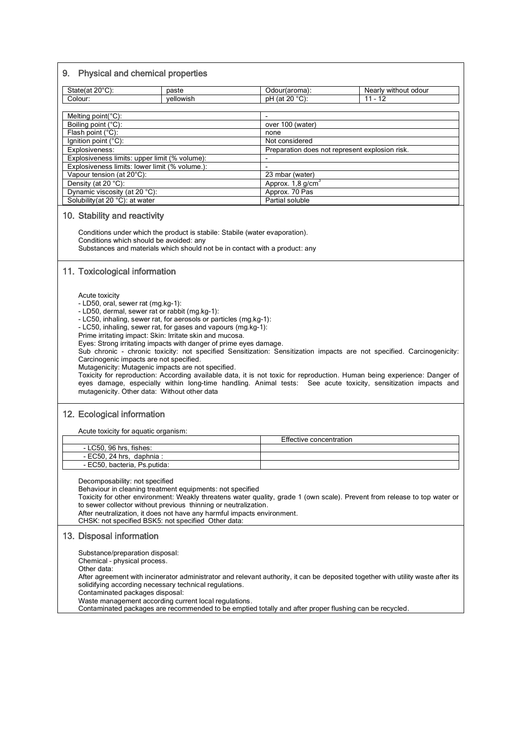## 9. Physical and chemical properties

| State(at $20^{\circ}$ C):                     | paste                                          | Odour(aroma):                                  | Nearly without odour |  |  |
|-----------------------------------------------|------------------------------------------------|------------------------------------------------|----------------------|--|--|
| Colour:                                       | vellowish                                      | $pH$ (at 20 $^{\circ}C$ ):                     | $11 - 12$            |  |  |
|                                               |                                                |                                                |                      |  |  |
| Melting point( ${}^{\circ}$ C):               |                                                |                                                |                      |  |  |
| Boiling point (°C):                           |                                                | over 100 (water)                               |                      |  |  |
| Flash point $(^{\circ}C)$ :                   |                                                | none                                           |                      |  |  |
| Ignition point $(^{\circ}C)$ :                |                                                | Not considered                                 |                      |  |  |
| Explosiveness:                                |                                                | Preparation does not represent explosion risk. |                      |  |  |
| Explosiveness limits: upper limit (% volume): |                                                | $\overline{\phantom{a}}$                       |                      |  |  |
|                                               | Explosiveness limits: lower limit (% volume.): | $\overline{\phantom{a}}$                       |                      |  |  |
| Vapour tension (at 20°C):                     |                                                | 23 mbar (water)                                |                      |  |  |
| Density (at $20^{\circ}$ C):                  |                                                | Approx. 1.8 g/cm <sup>3</sup>                  |                      |  |  |
| Dynamic viscosity (at 20 °C):                 |                                                | Approx. 70 Pas                                 |                      |  |  |
| Solubility (at 20 °C): at water               |                                                | Partial soluble                                |                      |  |  |

#### 10. Stability and reactivity

Conditions under which the product is stabile: Stabile (water evaporation). Conditions which should be avoided: any Substances and materials which should not be in contact with a product: any

## 11. Toxicological information

Acute toxicity

- LD50, oral, sewer rat (mg.kg-1):
- LD50, dermal, sewer rat or rabbit (mg.kg-1):
- LC50, inhaling, sewer rat, for aerosols or particles (mg.kg-1):
- LC50, inhaling, sewer rat, for gases and vapours (mg.kg-1):
- Prime irritating impact: Skin: Irritate skin and mucosa.
- Eyes: Strong irritating impacts with danger of prime eyes damage.

Sub chronic - chronic toxicity: not specified Sensitization: Sensitization impacts are not specified. Carcinogenicity: Carcinogenic impacts are not specified.

Mutagenicity: Mutagenic impacts are not specified.

Toxicity for reproduction: According available data, it is not toxic for reproduction. Human being experience: Danger of eyes damage, especially within long-time handling. Animal tests: See acute toxicity, sensitization impacts and mutagenicity. Other data: Without other data

## 12. Ecological information

Acute toxicity for aquatic organism:

|                              | Effective concentration |
|------------------------------|-------------------------|
| - LC50, 96 hrs, fishes:      |                         |
| - EC50, 24 hrs, daphnia:     |                         |
| - EC50, bacteria, Ps.putida: |                         |

Decomposability: not specified

Behaviour in cleaning treatment equipments: not specified

Toxicity for other environment: Weakly threatens water quality, grade 1 (own scale). Prevent from release to top water or to sewer collector without previous thinning or neutralization.

After neutralization, it does not have any harmful impacts environment.

CHSK: not specified BSK5: not specified Other data:

#### 13. Disposal information

Substance/preparation disposal:

Chemical – physical process.

Other data:

After agreement with incinerator administrator and relevant authority, it can be deposited together with utility waste after its solidifying according necessary technical regulations.

Contaminated packages disposal:

Waste management according current local regulations.

Contaminated packages are recommended to be emptied totally and after proper flushing can be recycled.